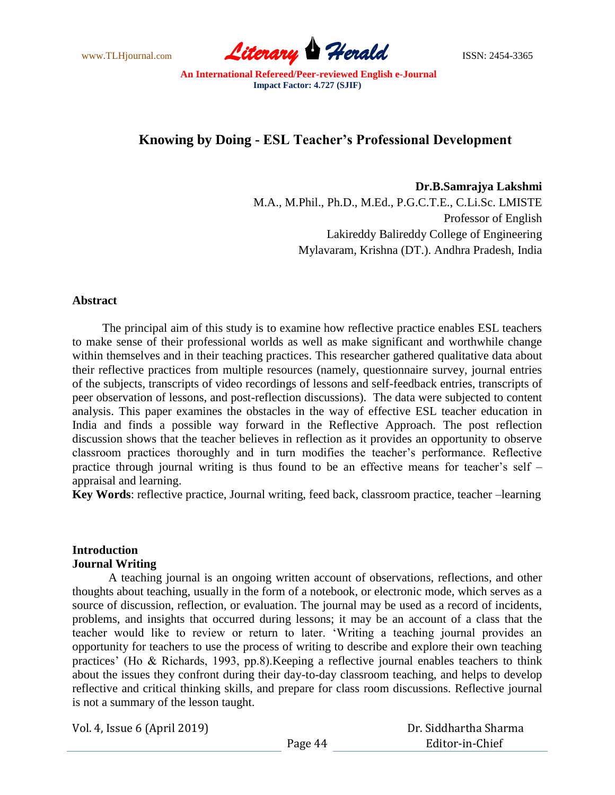www.TLHjournal.com **Literary Herald** ISSN: 2454-3365

# **Knowing by Doing - ESL Teacher's Professional Development**

**Dr.B.Samrajya Lakshmi** M.A., M.Phil., Ph.D., M.Ed., P.G.C.T.E., C.Li.Sc. LMISTE Professor of English Lakireddy Balireddy College of Engineering Mylavaram, Krishna (DT.). Andhra Pradesh, India

### **Abstract**

The principal aim of this study is to examine how reflective practice enables ESL teachers to make sense of their professional worlds as well as make significant and worthwhile change within themselves and in their teaching practices. This researcher gathered qualitative data about their reflective practices from multiple resources (namely, questionnaire survey, journal entries of the subjects, transcripts of video recordings of lessons and self-feedback entries, transcripts of peer observation of lessons, and post-reflection discussions). The data were subjected to content analysis. This paper examines the obstacles in the way of effective ESL teacher education in India and finds a possible way forward in the Reflective Approach. The post reflection discussion shows that the teacher believes in reflection as it provides an opportunity to observe classroom practices thoroughly and in turn modifies the teacher"s performance. Reflective practice through journal writing is thus found to be an effective means for teacher's self – appraisal and learning.

**Key Words**: reflective practice, Journal writing, feed back, classroom practice, teacher –learning

### **Introduction Journal Writing**

A teaching journal is an ongoing written account of observations, reflections, and other thoughts about teaching, usually in the form of a notebook, or electronic mode, which serves as a source of discussion, reflection, or evaluation. The journal may be used as a record of incidents, problems, and insights that occurred during lessons; it may be an account of a class that the teacher would like to review or return to later. "Writing a teaching journal provides an opportunity for teachers to use the process of writing to describe and explore their own teaching practices" (Ho & Richards, 1993, pp.8).Keeping a reflective journal enables teachers to think about the issues they confront during their day-to-day classroom teaching, and helps to develop reflective and critical thinking skills, and prepare for class room discussions. Reflective journal is not a summary of the lesson taught.

| Dr. Siddhartha Sharma |
|-----------------------|
| Editor-in-Chief       |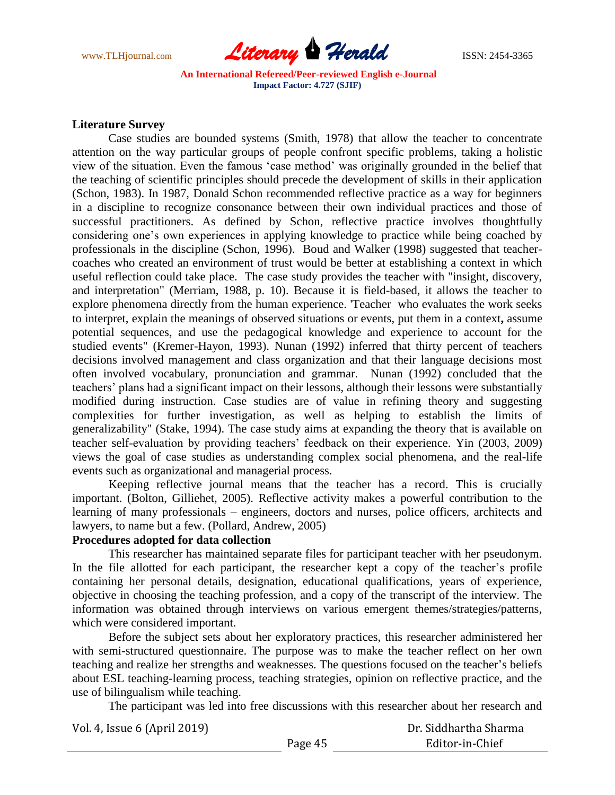

### **Literature Survey**

Case studies are bounded systems (Smith, 1978) that allow the teacher to concentrate attention on the way particular groups of people confront specific problems, taking a holistic view of the situation. Even the famous "case method" was originally grounded in the belief that the teaching of scientific principles should precede the development of skills in their application (Schon, 1983). In 1987, Donald Schon recommended reflective practice as a way for beginners in a discipline to recognize consonance between their own individual practices and those of successful practitioners. As defined by Schon, reflective practice involves thoughtfully considering one"s own experiences in applying knowledge to practice while being coached by professionals in the discipline (Schon, 1996). Boud and Walker (1998) suggested that teachercoaches who created an environment of trust would be better at establishing a context in which useful reflection could take place. The case study provides the teacher with "insight, discovery, and interpretation" (Merriam, 1988, p. 10). Because it is field-based, it allows the teacher to explore phenomena directly from the human experience. 'Teacher who evaluates the work seeks to interpret, explain the meanings of observed situations or events, put them in a context**,** assume potential sequences, and use the pedagogical knowledge and experience to account for the studied events" (Kremer-Hayon, 1993). Nunan (1992) inferred that thirty percent of teachers decisions involved management and class organization and that their language decisions most often involved vocabulary, pronunciation and grammar. Nunan (1992) concluded that the teachers" plans had a significant impact on their lessons, although their lessons were substantially modified during instruction. Case studies are of value in refining theory and suggesting complexities for further investigation, as well as helping to establish the limits of generalizability" (Stake, 1994). The case study aims at expanding the theory that is available on teacher self-evaluation by providing teachers' feedback on their experience. Yin (2003, 2009) views the goal of case studies as understanding complex social phenomena, and the real-life events such as organizational and managerial process.

Keeping reflective journal means that the teacher has a record. This is crucially important. (Bolton, Gilliehet, 2005). Reflective activity makes a powerful contribution to the learning of many professionals – engineers, doctors and nurses, police officers, architects and lawyers, to name but a few. (Pollard, Andrew, 2005)

# **Procedures adopted for data collection**

This researcher has maintained separate files for participant teacher with her pseudonym. In the file allotted for each participant, the researcher kept a copy of the teacher's profile containing her personal details, designation, educational qualifications, years of experience, objective in choosing the teaching profession, and a copy of the transcript of the interview. The information was obtained through interviews on various emergent themes/strategies/patterns, which were considered important.

Before the subject sets about her exploratory practices, this researcher administered her with semi-structured questionnaire. The purpose was to make the teacher reflect on her own teaching and realize her strengths and weaknesses. The questions focused on the teacher"s beliefs about ESL teaching-learning process, teaching strategies, opinion on reflective practice, and the use of bilingualism while teaching.

The participant was led into free discussions with this researcher about her research and

| Vol. 4, Issue 6 (April 2019) | Dr. Siddhartha Sharma |                 |
|------------------------------|-----------------------|-----------------|
|                              | Page 45               | Editor-in-Chief |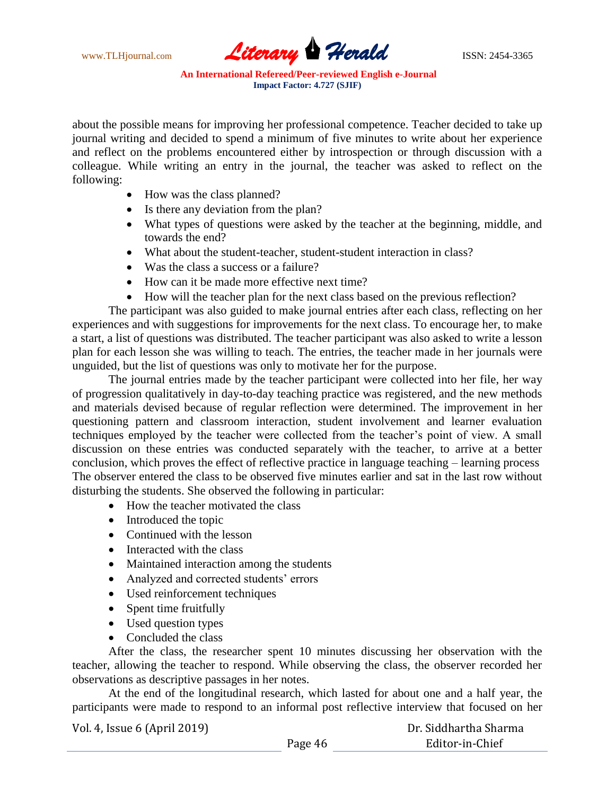

about the possible means for improving her professional competence. Teacher decided to take up journal writing and decided to spend a minimum of five minutes to write about her experience and reflect on the problems encountered either by introspection or through discussion with a colleague. While writing an entry in the journal, the teacher was asked to reflect on the following:

- How was the class planned?
- Is there any deviation from the plan?
- What types of questions were asked by the teacher at the beginning, middle, and towards the end?
- What about the student-teacher, student-student interaction in class?
- Was the class a success or a failure?
- How can it be made more effective next time?
- How will the teacher plan for the next class based on the previous reflection?

The participant was also guided to make journal entries after each class, reflecting on her experiences and with suggestions for improvements for the next class. To encourage her, to make a start, a list of questions was distributed. The teacher participant was also asked to write a lesson plan for each lesson she was willing to teach. The entries, the teacher made in her journals were unguided, but the list of questions was only to motivate her for the purpose.

The journal entries made by the teacher participant were collected into her file, her way of progression qualitatively in day-to-day teaching practice was registered, and the new methods and materials devised because of regular reflection were determined. The improvement in her questioning pattern and classroom interaction, student involvement and learner evaluation techniques employed by the teacher were collected from the teacher"s point of view. A small discussion on these entries was conducted separately with the teacher, to arrive at a better conclusion, which proves the effect of reflective practice in language teaching – learning process The observer entered the class to be observed five minutes earlier and sat in the last row without disturbing the students. She observed the following in particular:

- How the teacher motivated the class
- Introduced the topic
- Continued with the lesson
- Interacted with the class
- Maintained interaction among the students
- Analyzed and corrected students' errors
- Used reinforcement techniques
- Spent time fruitfully
- Used question types
- Concluded the class

After the class, the researcher spent 10 minutes discussing her observation with the teacher, allowing the teacher to respond. While observing the class, the observer recorded her observations as descriptive passages in her notes.

At the end of the longitudinal research, which lasted for about one and a half year, the participants were made to respond to an informal post reflective interview that focused on her

| Dr. Siddhartha Sharma |
|-----------------------|
| Editor-in-Chief       |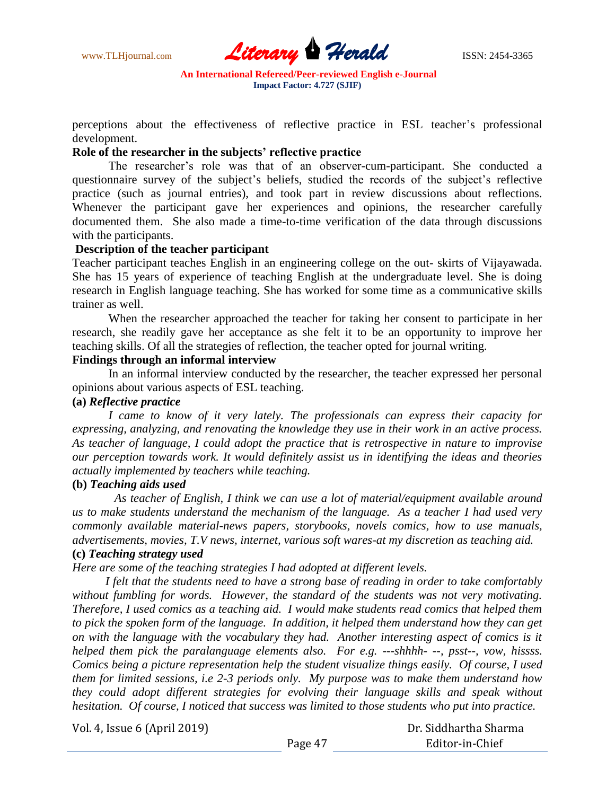

perceptions about the effectiveness of reflective practice in ESL teacher"s professional development.

#### **Role of the researcher in the subjects' reflective practice**

The researcher"s role was that of an observer-cum-participant. She conducted a questionnaire survey of the subject's beliefs, studied the records of the subject's reflective practice (such as journal entries), and took part in review discussions about reflections. Whenever the participant gave her experiences and opinions, the researcher carefully documented them. She also made a time-to-time verification of the data through discussions with the participants.

### **Description of the teacher participant**

Teacher participant teaches English in an engineering college on the out- skirts of Vijayawada. She has 15 years of experience of teaching English at the undergraduate level. She is doing research in English language teaching. She has worked for some time as a communicative skills trainer as well.

When the researcher approached the teacher for taking her consent to participate in her research, she readily gave her acceptance as she felt it to be an opportunity to improve her teaching skills. Of all the strategies of reflection, the teacher opted for journal writing.

### **Findings through an informal interview**

In an informal interview conducted by the researcher, the teacher expressed her personal opinions about various aspects of ESL teaching.

### **(a)** *Reflective practice*

*I came to know of it very lately. The professionals can express their capacity for expressing, analyzing, and renovating the knowledge they use in their work in an active process. As teacher of language, I could adopt the practice that is retrospective in nature to improvise our perception towards work. It would definitely assist us in identifying the ideas and theories actually implemented by teachers while teaching.*

#### **(b)** *Teaching aids used*

 *As teacher of English, I think we can use a lot of material/equipment available around us to make students understand the mechanism of the language. As a teacher I had used very commonly available material-news papers, storybooks, novels comics, how to use manuals, advertisements, movies, T.V news, internet, various soft wares-at my discretion as teaching aid.*

# **(c)** *Teaching strategy used*

*Here are some of the teaching strategies I had adopted at different levels.*

 *I felt that the students need to have a strong base of reading in order to take comfortably without fumbling for words. However, the standard of the students was not very motivating. Therefore, I used comics as a teaching aid. I would make students read comics that helped them to pick the spoken form of the language. In addition, it helped them understand how they can get on with the language with the vocabulary they had. Another interesting aspect of comics is it helped them pick the paralanguage elements also. For e.g. ---shhhh- --, psst--, vow, hissss. Comics being a picture representation help the student visualize things easily. Of course, I used them for limited sessions, i.e 2-3 periods only. My purpose was to make them understand how they could adopt different strategies for evolving their language skills and speak without hesitation. Of course, I noticed that success was limited to those students who put into practice.*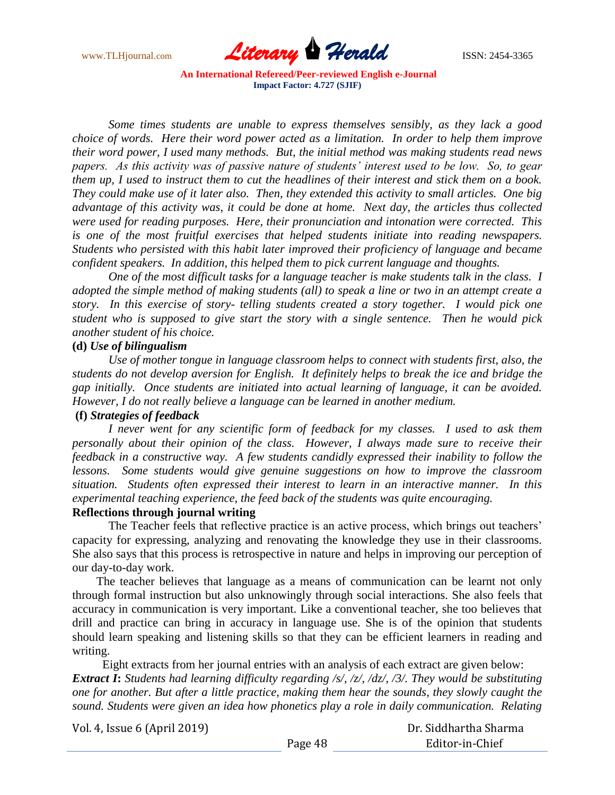

 *Some times students are unable to express themselves sensibly, as they lack a good choice of words. Here their word power acted as a limitation. In order to help them improve their word power, I used many methods. But, the initial method was making students read news papers. As this activity was of passive nature of students' interest used to be low. So, to gear them up, I used to instruct them to cut the headlines of their interest and stick them on a book. They could make use of it later also. Then, they extended this activity to small articles. One big advantage of this activity was, it could be done at home. Next day, the articles thus collected were used for reading purposes. Here, their pronunciation and intonation were corrected. This is one of the most fruitful exercises that helped students initiate into reading newspapers. Students who persisted with this habit later improved their proficiency of language and became confident speakers. In addition, this helped them to pick current language and thoughts.*

 *One of the most difficult tasks for a language teacher is make students talk in the class. I adopted the simple method of making students (all) to speak a line or two in an attempt create a story. In this exercise of story- telling students created a story together. I would pick one student who is supposed to give start the story with a single sentence. Then he would pick another student of his choice.*

### **(d)** *Use of bilingualism*

*Use of mother tongue in language classroom helps to connect with students first, also, the students do not develop aversion for English. It definitely helps to break the ice and bridge the gap initially. Once students are initiated into actual learning of language, it can be avoided. However, I do not really believe a language can be learned in another medium.*

### **(f)** *Strategies of feedback*

*I never went for any scientific form of feedback for my classes. I used to ask them personally about their opinion of the class. However, I always made sure to receive their feedback in a constructive way. A few students candidly expressed their inability to follow the lessons. Some students would give genuine suggestions on how to improve the classroom situation. Students often expressed their interest to learn in an interactive manner. In this experimental teaching experience, the feed back of the students was quite encouraging.*

#### **Reflections through journal writing**

The Teacher feels that reflective practice is an active process, which brings out teachers' capacity for expressing, analyzing and renovating the knowledge they use in their classrooms. She also says that this process is retrospective in nature and helps in improving our perception of our day-to-day work.

The teacher believes that language as a means of communication can be learnt not only through formal instruction but also unknowingly through social interactions. She also feels that accuracy in communication is very important. Like a conventional teacher, she too believes that drill and practice can bring in accuracy in language use. She is of the opinion that students should learn speaking and listening skills so that they can be efficient learners in reading and writing.

Eight extracts from her journal entries with an analysis of each extract are given below: *Extract I***:** *Students had learning difficulty regarding /s/, /z/, /dz/, /3/. They would be substituting one for another. But after a little practice, making them hear the sounds, they slowly caught the sound. Students were given an idea how phonetics play a role in daily communication. Relating* 

Vol. 4, Issue 6 (April 2019) Page 48 Dr. Siddhartha Sharma Editor-in-Chief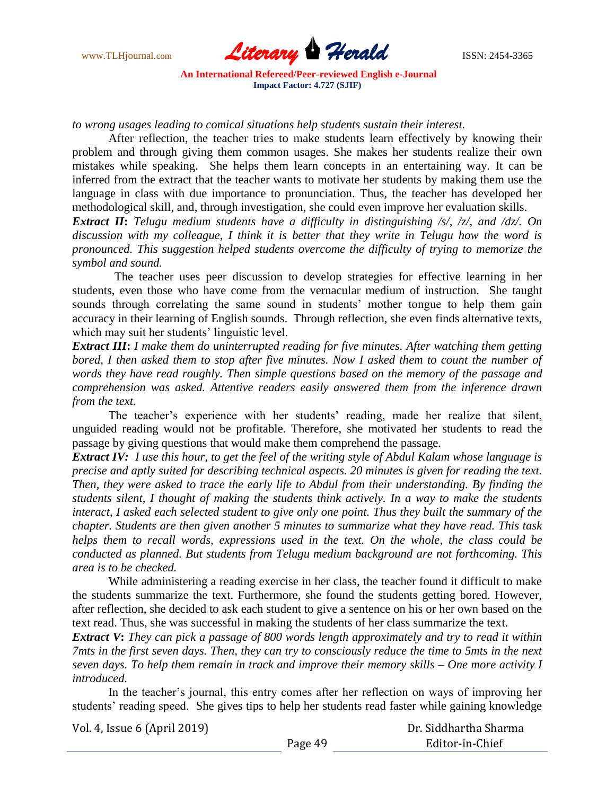

*to wrong usages leading to comical situations help students sustain their interest.*

After reflection, the teacher tries to make students learn effectively by knowing their problem and through giving them common usages. She makes her students realize their own mistakes while speaking. She helps them learn concepts in an entertaining way. It can be inferred from the extract that the teacher wants to motivate her students by making them use the language in class with due importance to pronunciation. Thus, the teacher has developed her methodological skill, and, through investigation, she could even improve her evaluation skills.

*Extract II***:** *Telugu medium students have a difficulty in distinguishing /s/, /z/, and /dz/. On discussion with my colleague, I think it is better that they write in Telugu how the word is pronounced. This suggestion helped students overcome the difficulty of trying to memorize the symbol and sound.*

 The teacher uses peer discussion to develop strategies for effective learning in her students, even those who have come from the vernacular medium of instruction. She taught sounds through correlating the same sound in students' mother tongue to help them gain accuracy in their learning of English sounds. Through reflection, she even finds alternative texts, which may suit her students' linguistic level.

*Extract III***:** *I make them do uninterrupted reading for five minutes. After watching them getting bored, I then asked them to stop after five minutes. Now I asked them to count the number of words they have read roughly. Then simple questions based on the memory of the passage and comprehension was asked. Attentive readers easily answered them from the inference drawn from the text.*

The teacher"s experience with her students" reading, made her realize that silent, unguided reading would not be profitable. Therefore, she motivated her students to read the passage by giving questions that would make them comprehend the passage.

*Extract IV: I use this hour, to get the feel of the writing style of Abdul Kalam whose language is precise and aptly suited for describing technical aspects. 20 minutes is given for reading the text. Then, they were asked to trace the early life to Abdul from their understanding. By finding the students silent, I thought of making the students think actively. In a way to make the students interact, I asked each selected student to give only one point. Thus they built the summary of the chapter. Students are then given another 5 minutes to summarize what they have read. This task helps them to recall words, expressions used in the text. On the whole, the class could be conducted as planned. But students from Telugu medium background are not forthcoming. This area is to be checked.* 

While administering a reading exercise in her class, the teacher found it difficult to make the students summarize the text. Furthermore, she found the students getting bored. However, after reflection, she decided to ask each student to give a sentence on his or her own based on the text read. Thus, she was successful in making the students of her class summarize the text.

*Extract V***:** *They can pick a passage of 800 words length approximately and try to read it within 7mts in the first seven days. Then, they can try to consciously reduce the time to 5mts in the next seven days. To help them remain in track and improve their memory skills – One more activity I introduced.*

In the teacher"s journal, this entry comes after her reflection on ways of improving her students" reading speed.She gives tips to help her students read faster while gaining knowledge

Vol. 4, Issue 6 (April 2019)

 Dr. Siddhartha Sharma Editor-in-Chief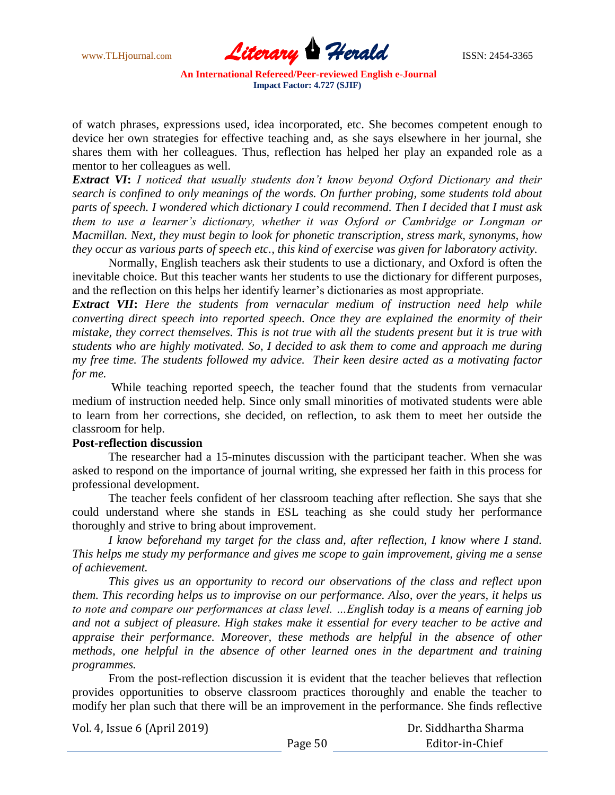

of watch phrases, expressions used, idea incorporated, etc. She becomes competent enough to device her own strategies for effective teaching and, as she says elsewhere in her journal, she shares them with her colleagues. Thus, reflection has helped her play an expanded role as a mentor to her colleagues as well.

*Extract VI***:** *I noticed that usually students don't know beyond Oxford Dictionary and their search is confined to only meanings of the words. On further probing, some students told about parts of speech. I wondered which dictionary I could recommend. Then I decided that I must ask them to use a learner's dictionary, whether it was Oxford or Cambridge or Longman or Macmillan. Next, they must begin to look for phonetic transcription, stress mark, synonyms, how they occur as various parts of speech etc., this kind of exercise was given for laboratory activity.* 

Normally, English teachers ask their students to use a dictionary, and Oxford is often the inevitable choice. But this teacher wants her students to use the dictionary for different purposes, and the reflection on this helps her identify learner"s dictionaries as most appropriate.

*Extract VII***:** *Here the students from vernacular medium of instruction need help while converting direct speech into reported speech. Once they are explained the enormity of their mistake, they correct themselves. This is not true with all the students present but it is true with students who are highly motivated. So, I decided to ask them to come and approach me during my free time. The students followed my advice. Their keen desire acted as a motivating factor for me.*

While teaching reported speech, the teacher found that the students from vernacular medium of instruction needed help. Since only small minorities of motivated students were able to learn from her corrections, she decided, on reflection, to ask them to meet her outside the classroom for help.

### **Post-reflection discussion**

The researcher had a 15-minutes discussion with the participant teacher. When she was asked to respond on the importance of journal writing, she expressed her faith in this process for professional development.

The teacher feels confident of her classroom teaching after reflection. She says that she could understand where she stands in ESL teaching as she could study her performance thoroughly and strive to bring about improvement.

*I know beforehand my target for the class and, after reflection, I know where I stand. This helps me study my performance and gives me scope to gain improvement, giving me a sense of achievement.*

*This gives us an opportunity to record our observations of the class and reflect upon them. This recording helps us to improvise on our performance. Also, over the years, it helps us to note and compare our performances at class level. …English today is a means of earning job and not a subject of pleasure. High stakes make it essential for every teacher to be active and appraise their performance. Moreover, these methods are helpful in the absence of other methods, one helpful in the absence of other learned ones in the department and training programmes.*

From the post-reflection discussion it is evident that the teacher believes that reflection provides opportunities to observe classroom practices thoroughly and enable the teacher to modify her plan such that there will be an improvement in the performance. She finds reflective

| Dr. Siddhartha Sharma |
|-----------------------|
| Editor-in-Chief       |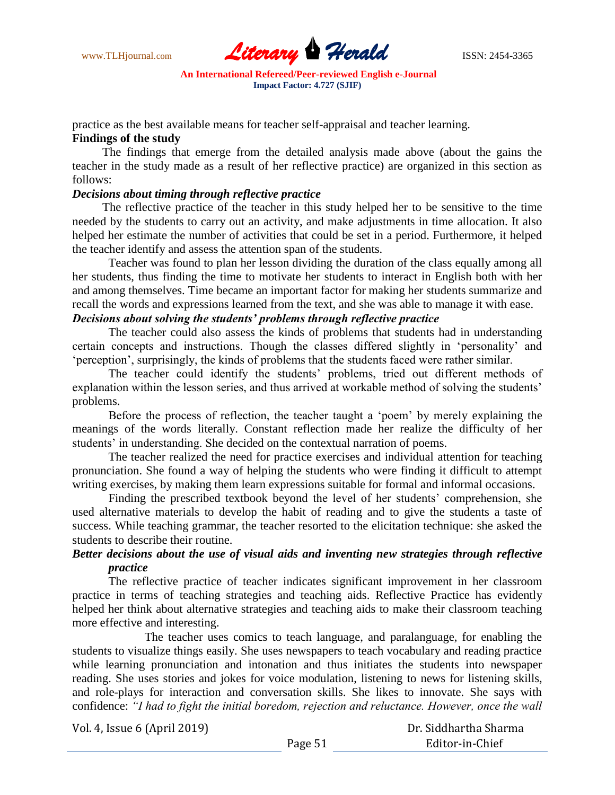

practice as the best available means for teacher self-appraisal and teacher learning.

# **Findings of the study**

The findings that emerge from the detailed analysis made above (about the gains the teacher in the study made as a result of her reflective practice) are organized in this section as follows:

### *Decisions about timing through reflective practice*

The reflective practice of the teacher in this study helped her to be sensitive to the time needed by the students to carry out an activity, and make adjustments in time allocation. It also helped her estimate the number of activities that could be set in a period. Furthermore, it helped the teacher identify and assess the attention span of the students.

Teacher was found to plan her lesson dividing the duration of the class equally among all her students, thus finding the time to motivate her students to interact in English both with her and among themselves. Time became an important factor for making her students summarize and recall the words and expressions learned from the text, and she was able to manage it with ease.

# *Decisions about solving the students' problems through reflective practice*

The teacher could also assess the kinds of problems that students had in understanding certain concepts and instructions. Though the classes differed slightly in "personality" and "perception", surprisingly, the kinds of problems that the students faced were rather similar.

The teacher could identify the students' problems, tried out different methods of explanation within the lesson series, and thus arrived at workable method of solving the students' problems.

Before the process of reflection, the teacher taught a "poem" by merely explaining the meanings of the words literally. Constant reflection made her realize the difficulty of her students' in understanding. She decided on the contextual narration of poems.

The teacher realized the need for practice exercises and individual attention for teaching pronunciation. She found a way of helping the students who were finding it difficult to attempt writing exercises, by making them learn expressions suitable for formal and informal occasions.

Finding the prescribed textbook beyond the level of her students" comprehension, she used alternative materials to develop the habit of reading and to give the students a taste of success. While teaching grammar, the teacher resorted to the elicitation technique: she asked the students to describe their routine.

# *Better decisions about the use of visual aids and inventing new strategies through reflective practice*

The reflective practice of teacher indicates significant improvement in her classroom practice in terms of teaching strategies and teaching aids. Reflective Practice has evidently helped her think about alternative strategies and teaching aids to make their classroom teaching more effective and interesting.

The teacher uses comics to teach language, and paralanguage, for enabling the students to visualize things easily. She uses newspapers to teach vocabulary and reading practice while learning pronunciation and intonation and thus initiates the students into newspaper reading. She uses stories and jokes for voice modulation, listening to news for listening skills, and role-plays for interaction and conversation skills. She likes to innovate. She says with confidence: *"I had to fight the initial boredom, rejection and reluctance. However, once the wall* 

| Vol. 4, Issue 6 (April 2019) |         | Dr. Siddhartha Sharma |
|------------------------------|---------|-----------------------|
|                              | Page 51 | Editor-in-Chief       |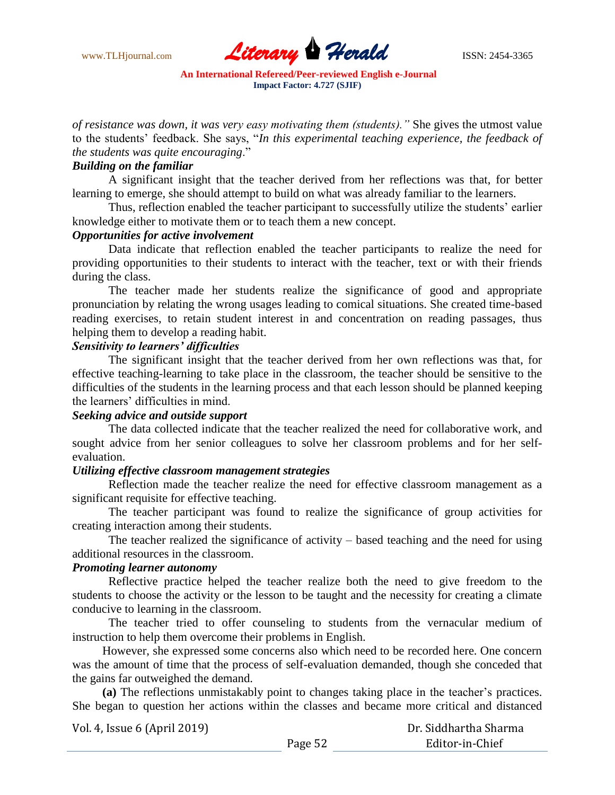

*of resistance was down, it was very easy motivating them (students)."* She gives the utmost value to the students" feedback. She says, "*In this experimental teaching experience, the feedback of the students was quite encouraging*."

# *Building on the familiar*

A significant insight that the teacher derived from her reflections was that, for better learning to emerge, she should attempt to build on what was already familiar to the learners.

Thus, reflection enabled the teacher participant to successfully utilize the students' earlier knowledge either to motivate them or to teach them a new concept.

### *Opportunities for active involvement*

Data indicate that reflection enabled the teacher participants to realize the need for providing opportunities to their students to interact with the teacher, text or with their friends during the class.

The teacher made her students realize the significance of good and appropriate pronunciation by relating the wrong usages leading to comical situations. She created time-based reading exercises, to retain student interest in and concentration on reading passages, thus helping them to develop a reading habit.

### *Sensitivity to learners' difficulties*

The significant insight that the teacher derived from her own reflections was that, for effective teaching-learning to take place in the classroom, the teacher should be sensitive to the difficulties of the students in the learning process and that each lesson should be planned keeping the learners" difficulties in mind.

#### *Seeking advice and outside support*

The data collected indicate that the teacher realized the need for collaborative work, and sought advice from her senior colleagues to solve her classroom problems and for her selfevaluation.

### *Utilizing effective classroom management strategies*

Reflection made the teacher realize the need for effective classroom management as a significant requisite for effective teaching.

The teacher participant was found to realize the significance of group activities for creating interaction among their students.

The teacher realized the significance of activity – based teaching and the need for using additional resources in the classroom.

### *Promoting learner autonomy*

Reflective practice helped the teacher realize both the need to give freedom to the students to choose the activity or the lesson to be taught and the necessity for creating a climate conducive to learning in the classroom.

The teacher tried to offer counseling to students from the vernacular medium of instruction to help them overcome their problems in English.

However, she expressed some concerns also which need to be recorded here. One concern was the amount of time that the process of self-evaluation demanded, though she conceded that the gains far outweighed the demand.

**(a)** The reflections unmistakably point to changes taking place in the teacher"s practices. She began to question her actions within the classes and became more critical and distanced

| Vol. 4, Issue 6 (April 2019) |         | Dr. Siddhartha Sharma |
|------------------------------|---------|-----------------------|
|                              | Page 52 | Editor-in-Chief       |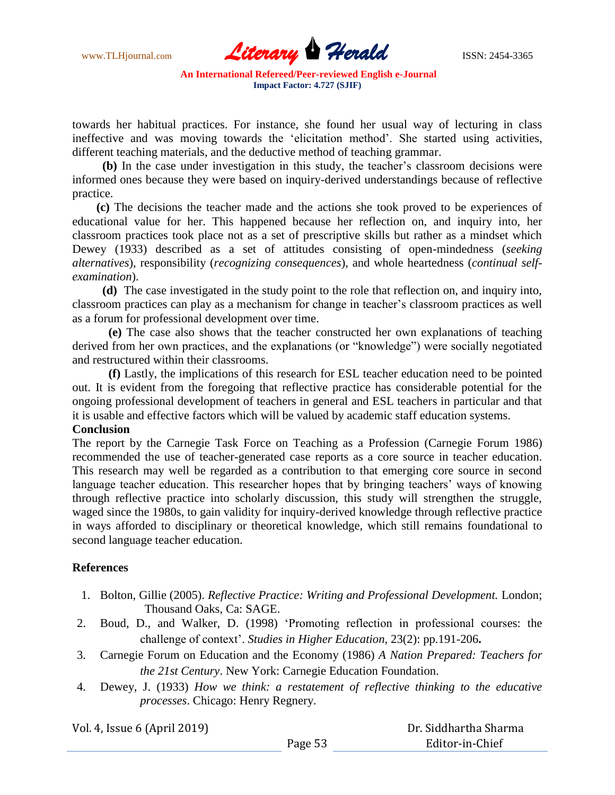www.TLHjournal.com **Literary Herald** ISSN: 2454-3365

towards her habitual practices. For instance, she found her usual way of lecturing in class ineffective and was moving towards the "elicitation method". She started using activities, different teaching materials, and the deductive method of teaching grammar.

**(b)** In the case under investigation in this study, the teacher"s classroom decisions were informed ones because they were based on inquiry-derived understandings because of reflective practice.

**(c)** The decisions the teacher made and the actions she took proved to be experiences of educational value for her. This happened because her reflection on, and inquiry into, her classroom practices took place not as a set of prescriptive skills but rather as a mindset which Dewey (1933) described as a set of attitudes consisting of open-mindedness (*seeking alternatives*), responsibility (*recognizing consequences*), and whole heartedness (*continual selfexamination*).

**(d)** The case investigated in the study point to the role that reflection on, and inquiry into, classroom practices can play as a mechanism for change in teacher"s classroom practices as well as a forum for professional development over time.

**(e)** The case also shows that the teacher constructed her own explanations of teaching derived from her own practices, and the explanations (or "knowledge") were socially negotiated and restructured within their classrooms.

**(f)** Lastly, the implications of this research for ESL teacher education need to be pointed out. It is evident from the foregoing that reflective practice has considerable potential for the ongoing professional development of teachers in general and ESL teachers in particular and that it is usable and effective factors which will be valued by academic staff education systems.

# **Conclusion**

The report by the Carnegie Task Force on Teaching as a Profession (Carnegie Forum 1986) recommended the use of teacher-generated case reports as a core source in teacher education. This research may well be regarded as a contribution to that emerging core source in second language teacher education. This researcher hopes that by bringing teachers' ways of knowing through reflective practice into scholarly discussion, this study will strengthen the struggle, waged since the 1980s, to gain validity for inquiry-derived knowledge through reflective practice in ways afforded to disciplinary or theoretical knowledge, which still remains foundational to second language teacher education.

### **References**

- 1. Bolton, Gillie (2005). *Reflective Practice: Writing and Professional Development.* London; Thousand Oaks, Ca: SAGE.
- 2. Boud, D., and Walker, D. (1998) "Promoting reflection in professional courses: the challenge of context". *Studies in Higher Education,* 23(2): pp.191-206**.**
- 3. Carnegie Forum on Education and the Economy (1986) *A Nation Prepared: Teachers for the 21st Century*. New York: Carnegie Education Foundation.
- 4. Dewey, J. (1933) *How we think: a restatement of reflective thinking to the educative processes*. Chicago: Henry Regnery.

| Vol. 4, Issue 6 (April 2019) |         | Dr. Siddhartha Sharma |
|------------------------------|---------|-----------------------|
|                              | Page 53 | Editor-in-Chief       |